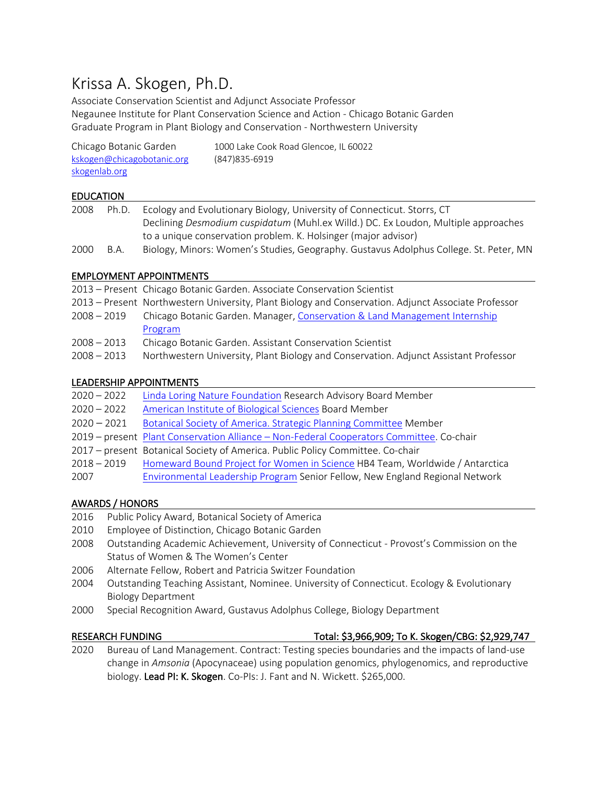Krissa A. Skogen, Ph.D.<br>Associate Conservation Scientist and Adjunct Associate Professor Negaunee Institute for Plant Conservation Science and Action - Chicago Botanic Garden Graduate Program in Plant Biology and Conservation - Northwestern University

| Chicago Botanic Garden     | 1000 Lake Cook Road Glencoe. IL 60022 |
|----------------------------|---------------------------------------|
| kskogen@chicagobotanic.org | (847) 835-6919                        |
| skogenlab.org              |                                       |

## EDUCATION

| 2008 | Ph.D. | Ecology and Evolutionary Biology, University of Connecticut. Storrs, CT               |
|------|-------|---------------------------------------------------------------------------------------|
|      |       | Declining Desmodium cuspidatum (Muhl.ex Willd.) DC. Ex Loudon, Multiple approaches    |
|      |       | to a unique conservation problem. K. Holsinger (major advisor)                        |
| 2000 | B.A.  | Biology, Minors: Women's Studies, Geography. Gustavus Adolphus College. St. Peter, MN |

## EMPLOYMENT APPOINTMENTS

|             | 2013 – Present Chicago Botanic Garden. Associate Conservation Scientist                             |
|-------------|-----------------------------------------------------------------------------------------------------|
|             | 2013 – Present Northwestern University, Plant Biology and Conservation. Adjunct Associate Professor |
| 2008 – 2019 | Chicago Botanic Garden. Manager, Conservation & Land Management Internship                          |
|             | Program                                                                                             |
| 2008 - 2013 | Chicago Botanic Garden. Assistant Conservation Scientist                                            |
| 2008 - 2013 | Northwestern University, Plant Biology and Conservation. Adjunct Assistant Professor                |
|             |                                                                                                     |

## LEADERSHIP APPOINTMENTS

| $2020 - 2022$ | Linda Loring Nature Foundation Research Advisory Board Member |  |
|---------------|---------------------------------------------------------------|--|
| $2020 - 2022$ | American Institute of Biological Sciences Board Member        |  |

2020 – 2021 Botanical Society of America. Strategic Planning Committee Member

- 2019 present Plant Conservation Alliance Non-Federal Cooperators Committee. Co-chair
- 2017 present Botanical Society of America. Public Policy Committee. Co-chair
- 2018 2019 Homeward Bound Project for Women in Science HB4 Team, Worldwide / Antarctica
- 2007 Environmental Leadership Program Senior Fellow, New England Regional Network

## AWARDS / HONORS

- 2016 Public Policy Award, Botanical Society of America
- 2010 Employee of Distinction, Chicago Botanic Garden
- 2008 Outstanding Academic Achievement, University of Connecticut Provost's Commission on the Status of Women & The Women's Center
- 2006 Alternate Fellow, Robert and Patricia Switzer Foundation
- 2004 Outstanding Teaching Assistant, Nominee. University of Connecticut. Ecology & Evolutionary Biology Department
- 2000 Special Recognition Award, Gustavus Adolphus College, Biology Department

## RESEARCH FUNDING Total: \$3,966,909; To K. Skogen/CBG: \$2,929,747

2020 Bureau of Land Management. Contract: Testing species boundaries and the impacts of land-use change in *Amsonia* (Apocynaceae) using population genomics, phylogenomics, and reproductive biology. Lead PI: K. Skogen. Co-PIs: J. Fant and N. Wickett. \$265,000.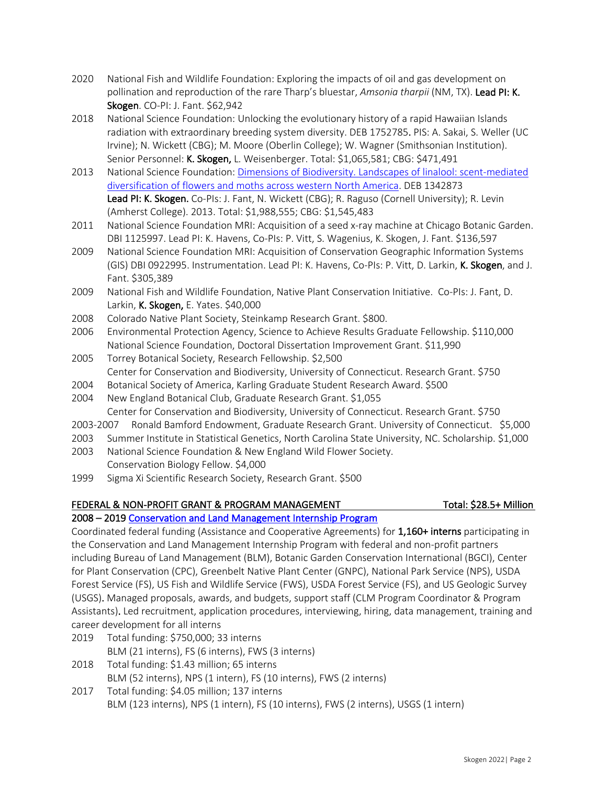- 2020 National Fish and Wildlife Foundation: Exploring the impacts of oil and gas development on pollination and reproduction of the rare Tharp's bluestar, *Amsonia tharpii* (NM, TX). Lead PI: K. Skogen. CO-PI: J. Fant. \$62,942
- 2018 National Science Foundation: Unlocking the evolutionary history of a rapid Hawaiian Islands radiation with extraordinary breeding system diversity. DEB 1752785. PIS: A. Sakai, S. Weller (UC Irvine); N. Wickett (CBG); M. Moore (Oberlin College); W. Wagner (Smithsonian Institution). Senior Personnel: K. Skogen, L. Weisenberger. Total: \$1,065,581; CBG: \$471,491
- 2013 National Science Foundation: Dimensions of Biodiversity. Landscapes of linalool: scent-mediated diversification of flowers and moths across western North America. DEB 1342873 Lead PI: K. Skogen. Co-PIs: J. Fant, N. Wickett (CBG); R. Raguso (Cornell University); R. Levin (Amherst College). 2013. Total: \$1,988,555; CBG: \$1,545,483
- 2011 National Science Foundation MRI: Acquisition of a seed x-ray machine at Chicago Botanic Garden. DBI 1125997. Lead PI: K. Havens, Co-PIs: P. Vitt, S. Wagenius, K. Skogen, J. Fant. \$136,597
- 2009 National Science Foundation MRI: Acquisition of Conservation Geographic Information Systems (GIS) DBI 0922995. Instrumentation. Lead PI: K. Havens, Co-PIs: P. Vitt, D. Larkin, K. Skogen, and J. Fant. \$305,389
- 2009 National Fish and Wildlife Foundation, Native Plant Conservation Initiative. Co-PIs: J. Fant, D. Larkin, K. Skogen, E. Yates. \$40,000
- 2008 Colorado Native Plant Society, Steinkamp Research Grant. \$800.
- 2006 Environmental Protection Agency, Science to Achieve Results Graduate Fellowship. \$110,000 National Science Foundation, Doctoral Dissertation Improvement Grant. \$11,990
- 2005 Torrey Botanical Society, Research Fellowship. \$2,500 Center for Conservation and Biodiversity, University of Connecticut. Research Grant. \$750
- 2004 Botanical Society of America, Karling Graduate Student Research Award. \$500
- 2004 New England Botanical Club, Graduate Research Grant. \$1,055 Center for Conservation and Biodiversity, University of Connecticut. Research Grant. \$750
- 2003-2007 Ronald Bamford Endowment, Graduate Research Grant. University of Connecticut. \$5,000
- 2003 Summer Institute in Statistical Genetics, North Carolina State University, NC. Scholarship. \$1,000
- 2003 National Science Foundation & New England Wild Flower Society. Conservation Biology Fellow. \$4,000
- 1999 Sigma Xi Scientific Research Society, Research Grant. \$500

# FEDERAL & NON-PROFIT GRANT & PROGRAM MANAGEMENT TOTAL: \$28.5+ Million

2008 – 2019 Conservation and Land Management Internship Program

Coordinated federal funding (Assistance and Cooperative Agreements) for 1,160+ interns participating in the Conservation and Land Management Internship Program with federal and non-profit partners including Bureau of Land Management (BLM), Botanic Garden Conservation International (BGCI), Center for Plant Conservation (CPC), Greenbelt Native Plant Center (GNPC), National Park Service (NPS), USDA Forest Service (FS), US Fish and Wildlife Service (FWS), USDA Forest Service (FS), and US Geologic Survey (USGS). Managed proposals, awards, and budgets, support staff (CLM Program Coordinator & Program Assistants). Led recruitment, application procedures, interviewing, hiring, data management, training and career development for all interns

- 2019 Total funding: \$750,000; 33 interns BLM (21 interns), FS (6 interns), FWS (3 interns)
- 2018 Total funding: \$1.43 million; 65 interns BLM (52 interns), NPS (1 intern), FS (10 interns), FWS (2 interns)
- 2017 Total funding: \$4.05 million; 137 interns BLM (123 interns), NPS (1 intern), FS (10 interns), FWS (2 interns), USGS (1 intern)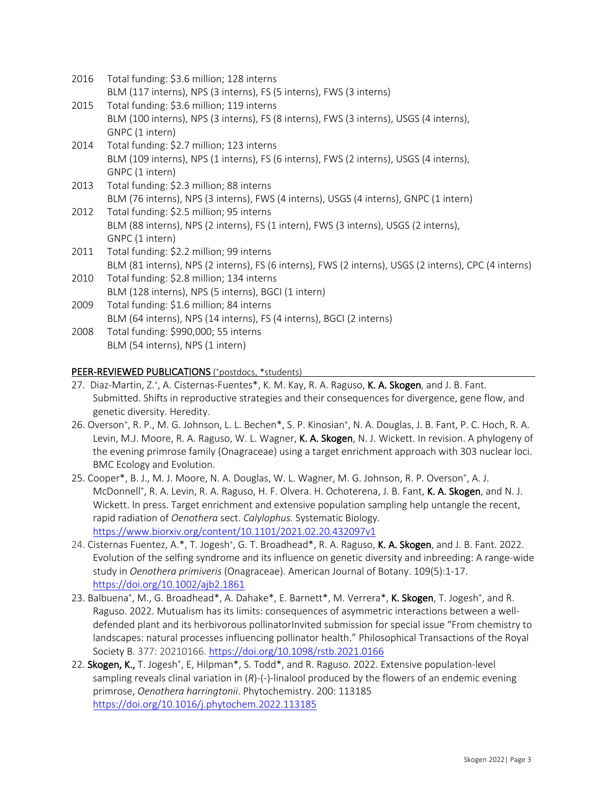| 2016 | Total funding: \$3.6 million; 128 interns                                                             |
|------|-------------------------------------------------------------------------------------------------------|
|      | BLM (117 interns), NPS (3 interns), FS (5 interns), FWS (3 interns)                                   |
| 2015 | Total funding: \$3.6 million; 119 interns                                                             |
|      | BLM (100 interns), NPS (3 interns), FS (8 interns), FWS (3 interns), USGS (4 interns),                |
|      | GNPC (1 intern)                                                                                       |
| 2014 | Total funding: \$2.7 million; 123 interns                                                             |
|      | BLM (109 interns), NPS (1 interns), FS (6 interns), FWS (2 interns), USGS (4 interns),                |
|      | GNPC (1 intern)                                                                                       |
| 2013 | Total funding: \$2.3 million; 88 interns                                                              |
|      | BLM (76 interns), NPS (3 interns), FWS (4 interns), USGS (4 interns), GNPC (1 intern)                 |
| 2012 | Total funding: \$2.5 million; 95 interns                                                              |
|      | BLM (88 interns), NPS (2 interns), FS (1 intern), FWS (3 interns), USGS (2 interns),                  |
|      | GNPC (1 intern)                                                                                       |
| 2011 | Total funding: \$2.2 million; 99 interns                                                              |
|      | BLM (81 interns), NPS (2 interns), FS (6 interns), FWS (2 interns), USGS (2 interns), CPC (4 interns) |
| 2010 | Total funding: \$2.8 million; 134 interns                                                             |
|      | BLM (128 interns), NPS (5 interns), BGCI (1 intern)                                                   |
| 2009 | Total funding: \$1.6 million; 84 interns                                                              |
|      | BLM (64 interns), NPS (14 interns), FS (4 interns), BGCI (2 interns)                                  |
| 2008 | Total funding: \$990,000; 55 interns                                                                  |
|      | BLM (54 interns), NPS (1 intern)                                                                      |

# PEER-REVIEWED PUBLICATIONS (\*postdocs, \*students) Maria Maria Maria Maria Maria Maria Maria Maria Maria Maria

- 27. Diaz-Martin, Z.<sup>+</sup>, A. Cisternas-Fuentes\*, K. M. Kay, R. A. Raguso, K. A. Skogen, and J. B. Fant. Submitted. Shifts in reproductive strategies and their consequences for divergence, gene flow, and genetic diversity. Heredity.
- 26. Overson<sup>+</sup>, R. P., M. G. Johnson, L. L. Bechen\*, S. P. Kinosian<sup>+</sup>, N. A. Douglas, J. B. Fant, P. C. Hoch, R. A. Levin, M.J. Moore, R. A. Raguso, W. L. Wagner, K. A. Skogen, N. J. Wickett. In revision. A phylogeny of the evening primrose family (Onagraceae) using a target enrichment approach with 303 nuclear loci. BMC Ecology and Evolution.
- 25. Cooper\*, B. J., M. J. Moore, N. A. Douglas, W. L. Wagner, M. G. Johnson, R. P. Overson<sup>+</sup>, A. J. McDonnell<sup>+</sup>, R. A. Levin, R. A. Raguso, H. F. Olvera. H. Ochoterena, J. B. Fant, K. A. Skogen, and N. J. Wickett. In press. Target enrichment and extensive population sampling help untangle the recent, rapid radiation of *Oenothera* sect. *Calylophus.* Systematic Biology. https://www.biorxiv.org/content/10.1101/2021.02.20.432097v1
- 24. Cisternas Fuentez, A.\*, T. Jogesh<sup>+</sup>, G. T. Broadhead\*, R. A. Raguso, K. A. Skogen, and J. B. Fant. 2022. Evolution of the selfing syndrome and its influence on genetic diversity and inbreeding: A range-wide study in *Oenothera primiveris* (Onagraceae). American Journal of Botany. 109(5):1-17. https://doi.org/10.1002/ajb2.1861
- 23. Balbuena<sup>+</sup>, M., G. Broadhead\*, A. Dahake\*, E. Barnett\*, M. Verrera\*, K. Skogen, T. Jogesh<sup>+</sup>, and R. Raguso. 2022. Mutualism has its limits: consequences of asymmetric interactions between a welldefended plant and its herbivorous pollinatorInvited submission for special issue "From chemistry to landscapes: natural processes influencing pollinator health." Philosophical Transactions of the Royal Society B. 377: 20210166. https://doi.org/10.1098/rstb.2021.0166
- 22. Skogen, K., T. Jogesh<sup>+</sup>, E, Hilpman\*, S. Todd\*, and R. Raguso. 2022. Extensive population-level sampling reveals clinal variation in (*R*)-(-)-linalool produced by the flowers of an endemic evening primrose, *Oenothera harringtonii*. Phytochemistry. 200: 113185 https://doi.org/10.1016/j.phytochem.2022.113185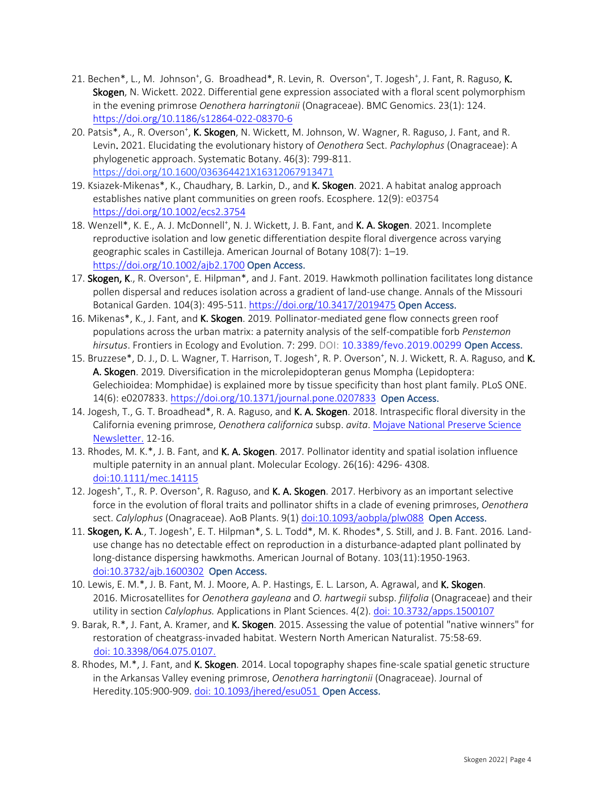- 21. Bechen\*, L., M. Johnson<sup>+</sup>, G. Broadhead\*, R. Levin, R. Overson<sup>+</sup>, T. Jogesh<sup>+</sup>, J. Fant, R. Raguso, **K.** Skogen, N. Wickett. 2022. Differential gene expression associated with a floral scent polymorphism in the evening primrose *Oenothera harringtonii* (Onagraceae). BMC Genomics. 23(1): 124. https://doi.org/10.1186/s12864-022-08370-6
- 20. Patsis\*, A., R. Overson<sup>+</sup>, K. Skogen, N. Wickett, M. Johnson, W. Wagner, R. Raguso, J. Fant, and R. Levin. 2021. Elucidating the evolutionary history of *Oenothera* Sect. *Pachylophus* (Onagraceae): A phylogenetic approach. Systematic Botany. 46(3): 799-811. https://doi.org/10.1600/036364421X16312067913471
- 19. Ksiazek-Mikenas\*, K., Chaudhary, B. Larkin, D., and K. Skogen. 2021. A habitat analog approach establishes native plant communities on green roofs. Ecosphere. 12(9): e03754 https://doi.org/10.1002/ecs2.3754
- 18. Wenzell\*, K. E., A. J. McDonnell<sup>+</sup>, N. J. Wickett, J. B. Fant, and K. A. Skogen. 2021. Incomplete reproductive isolation and low genetic differentiation despite floral divergence across varying geographic scales in Castilleja. American Journal of Botany 108(7): 1–19. https://doi.org/10.1002/ajb2.1700 Open Access.
- 17. Skogen, K., R. Overson<sup>+</sup>, E. Hilpman\*, and J. Fant. 2019. Hawkmoth pollination facilitates long distance pollen dispersal and reduces isolation across a gradient of land-use change. Annals of the Missouri Botanical Garden. 104(3): 495-511. https://doi.org/10.3417/2019475 Open Access.
- 16. Mikenas\*, K., J. Fant, and K. Skogen. 2019*.* Pollinator-mediated gene flow connects green roof populations across the urban matrix: a paternity analysis of the self-compatible forb *Penstemon hirsutus*. Frontiers in Ecology and Evolution. 7: 299. DOI: 10.3389/fevo.2019.00299 Open Access.
- 15. Bruzzese\*, D. J., D. L. Wagner, T. Harrison, T. Jogesh<sup>+</sup>, R. P. Overson<sup>+</sup>, N. J. Wickett, R. A. Raguso, and K. A. Skogen. 2019*.* Diversification in the microlepidopteran genus Mompha (Lepidoptera: Gelechioidea: Momphidae) is explained more by tissue specificity than host plant family. PLoS ONE. 14(6): e0207833. https://doi.org/10.1371/journal.pone.0207833 Open Access.
- 14. Jogesh, T., G. T. Broadhead\*, R. A. Raguso, and K. A. Skogen. 2018. Intraspecific floral diversity in the California evening primrose, *Oenothera californica* subsp. *avita*. Mojave National Preserve Science Newsletter. 12-16.
- 13. Rhodes, M. K.\*, J. B. Fant, and K. A. Skogen. 2017*.* Pollinator identity and spatial isolation influence multiple paternity in an annual plant. Molecular Ecology. 26(16): 4296- 4308. doi:10.1111/mec.14115
- 12. Jogesh<sup>+</sup>, T., R. P. Overson<sup>+</sup>, R. Raguso, and **K. A. Skogen**. 2017. Herbivory as an important selective force in the evolution of floral traits and pollinator shifts in a clade of evening primroses, *Oenothera* sect. Calylophus (Onagraceae). AoB Plants. 9(1) doi:10.1093/aobpla/plw088 Open Access.
- 11. Skogen, K. A., T. Jogesh<sup>+</sup>, E. T. Hilpman\*, S. L. Todd\*, M. K. Rhodes\*, S. Still, and J. B. Fant. 2016. Landuse change has no detectable effect on reproduction in a disturbance-adapted plant pollinated by long-distance dispersing hawkmoths. American Journal of Botany. 103(11):1950-1963. doi:10.3732/ajb.1600302 Open Access.
- 10. Lewis, E. M.\*, J. B. Fant, M. J. Moore, A. P. Hastings, E. L. Larson, A. Agrawal, and K. Skogen. 2016. Microsatellites for *Oenothera gayleana* and *O. hartwegii* subsp. *filifolia* (Onagraceae) and their utility in section *Calylophus.* Applications in Plant Sciences. 4(2). doi: 10.3732/apps.1500107
- 9. Barak, R.\*, J. Fant, A. Kramer, and K. Skogen. 2015. Assessing the value of potential "native winners" for restoration of cheatgrass-invaded habitat. Western North American Naturalist. 75:58-69. doi: 10.3398/064.075.0107.
- 8. Rhodes, M.\*, J. Fant, and K. Skogen. 2014. Local topography shapes fine-scale spatial genetic structure in the Arkansas Valley evening primrose, *Oenothera harringtonii* (Onagraceae). Journal of Heredity.105:900-909. doi: 10.1093/jhered/esu051 Open Access.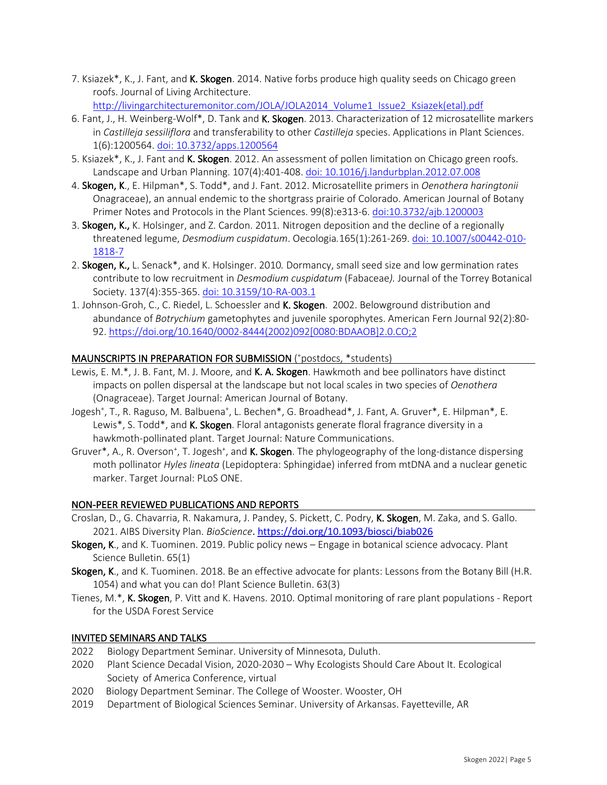7. Ksiazek\*, K., J. Fant, and K. Skogen. 2014. Native forbs produce high quality seeds on Chicago green roofs. Journal of Living Architecture.

http://livingarchitecturemonitor.com/JOLA/JOLA2014\_Volume1\_Issue2\_Ksiazek(etal).pdf

- 6. Fant, J., H. Weinberg-Wolf\*, D. Tank and K. Skogen. 2013. Characterization of 12 microsatellite markers in *Castilleja sessiliflora* and transferability to other *Castilleja* species. Applications in Plant Sciences. 1(6):1200564. doi: 10.3732/apps.1200564
- 5. Ksiazek\*, K., J. Fant and K. Skogen. 2012. An assessment of pollen limitation on Chicago green roofs. Landscape and Urban Planning. 107(4):401-408. doi: 10.1016/j.landurbplan.2012.07.008
- 4. Skogen, K., E. Hilpman\*, S. Todd\*, and J. Fant. 2012. Microsatellite primers in *Oenothera haringtonii* Onagraceae), an annual endemic to the shortgrass prairie of Colorado. American Journal of Botany Primer Notes and Protocols in the Plant Sciences. 99(8):e313-6. doi:10.3732/ajb.1200003
- 3. Skogen, K., K. Holsinger, and Z. Cardon. 2011*.* Nitrogen deposition and the decline of a regionally threatened legume, *Desmodium cuspidatum*. Oecologia*.*165(1):261-269. doi: 10.1007/s00442-010- 1818-7
- 2. Skogen, K., L. Senack\*, and K. Holsinger. 2010*.* Dormancy, small seed size and low germination rates contribute to low recruitment in *Desmodium cuspidatum* (Fabaceae*).* Journal of the Torrey Botanical Society. 137(4):355-365. doi: 10.3159/10-RA-003.1
- 1. Johnson-Groh, C., C. Riedel, L. Schoessler and K. Skogen. 2002. Belowground distribution and abundance of *Botrychium* gametophytes and juvenile sporophytes. American Fern Journal 92(2):80- 92. https://doi.org/10.1640/0002-8444(2002)092[0080:BDAAOB]2.0.CO;2

# MAUNSCRIPTS IN PREPARATION FOR SUBMISSION (\*postdocs, \*students)

- Lewis, E. M.\*, J. B. Fant, M. J. Moore, and K. A. Skogen. Hawkmoth and bee pollinators have distinct impacts on pollen dispersal at the landscape but not local scales in two species of *Oenothera*  (Onagraceae). Target Journal: American Journal of Botany.
- Jogesh<sup>+</sup>, T., R. Raguso, M. Balbuena<sup>+</sup>, L. Bechen\*, G. Broadhead\*, J. Fant, A. Gruver\*, E. Hilpman\*, E. Lewis\*, S. Todd\*, and K. Skogen. Floral antagonists generate floral fragrance diversity in a hawkmoth-pollinated plant. Target Journal: Nature Communications.
- Gruver\*, A., R. Overson<sup>+</sup>, T. Jogesh<sup>+</sup>, and K. Skogen. The phylogeography of the long-distance dispersing moth pollinator *Hyles lineata* (Lepidoptera: Sphingidae) inferred from mtDNA and a nuclear genetic marker. Target Journal: PLoS ONE.

## NON-PEER REVIEWED PUBLICATIONS AND REPORTS

- Croslan, D., G. Chavarria, R. Nakamura, J. Pandey, S. Pickett, C. Podry, K. Skogen, M. Zaka, and S. Gallo. 2021. AIBS Diversity Plan. *BioScience*. https://doi.org/10.1093/biosci/biab026
- Skogen, K., and K. Tuominen. 2019. Public policy news Engage in botanical science advocacy. Plant Science Bulletin. 65(1)
- Skogen, K., and K. Tuominen. 2018. Be an effective advocate for plants: Lessons from the Botany Bill (H.R. 1054) and what you can do! Plant Science Bulletin. 63(3)
- Tienes, M.\*, K. Skogen, P. Vitt and K. Havens. 2010. Optimal monitoring of rare plant populations Report for the USDA Forest Service

## INVITED SEMINARS AND TALKS

- 2022 Biology Department Seminar. University of Minnesota, Duluth.
- 2020 Plant Science Decadal Vision, 2020-2030 Why Ecologists Should Care About It. Ecological Society of America Conference, virtual
- 2020 Biology Department Seminar. The College of Wooster. Wooster, OH
- 2019 Department of Biological Sciences Seminar. University of Arkansas. Fayetteville, AR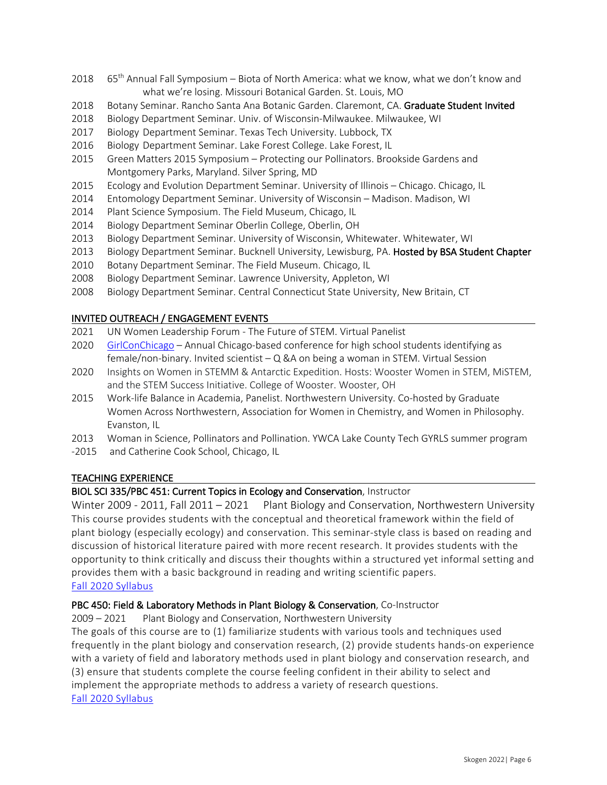- 2018  $65<sup>th</sup>$  Annual Fall Symposium Biota of North America: what we know, what we don't know and what we're losing. Missouri Botanical Garden. St. Louis, MO
- 2018 Botany Seminar. Rancho Santa Ana Botanic Garden. Claremont, CA. Graduate Student Invited
- 2018 Biology Department Seminar. Univ. of Wisconsin-Milwaukee. Milwaukee, WI
- 2017 Biology Department Seminar. Texas Tech University. Lubbock, TX
- 2016 Biology Department Seminar. Lake Forest College. Lake Forest, IL
- 2015 Green Matters 2015 Symposium Protecting our Pollinators. Brookside Gardens and Montgomery Parks, Maryland. Silver Spring, MD
- 2015 Ecology and Evolution Department Seminar. University of Illinois Chicago. Chicago, IL
- 2014 Entomology Department Seminar. University of Wisconsin Madison. Madison, WI
- 2014 Plant Science Symposium. The Field Museum, Chicago, IL
- 2014 Biology Department Seminar Oberlin College, Oberlin, OH
- 2013 Biology Department Seminar. University of Wisconsin, Whitewater. Whitewater, WI
- 2013 Biology Department Seminar. Bucknell University, Lewisburg, PA. Hosted by BSA Student Chapter
- 2010 Botany Department Seminar. The Field Museum. Chicago, IL
- 2008 Biology Department Seminar. Lawrence University, Appleton, WI
- 2008 Biology Department Seminar. Central Connecticut State University, New Britain, CT

## INVITED OUTREACH / ENGAGEMENT EVENTS

- 2021 UN Women Leadership Forum The Future of STEM. Virtual Panelist
- 2020 GirlConChicago Annual Chicago-based conference for high school students identifying as female/non-binary. Invited scientist  $-$  Q &A on being a woman in STEM. Virtual Session
- 2020 Insights on Women in STEMM & Antarctic Expedition. Hosts: Wooster Women in STEM, MiSTEM, and the STEM Success Initiative. College of Wooster. Wooster, OH
- 2015 Work-life Balance in Academia, Panelist. Northwestern University. Co-hosted by Graduate Women Across Northwestern, Association for Women in Chemistry, and Women in Philosophy. Evanston, IL
- 2013 Woman in Science, Pollinators and Pollination. YWCA Lake County Tech GYRLS summer program
- -2015 and Catherine Cook School, Chicago, IL

#### TEACHING EXPERIENCE

#### BIOL SCI 335/PBC 451: Current Topics in Ecology and Conservation, Instructor

Winter 2009 - 2011, Fall 2011 – 2021 Plant Biology and Conservation, Northwestern University This course provides students with the conceptual and theoretical framework within the field of plant biology (especially ecology) and conservation. This seminar-style class is based on reading and discussion of historical literature paired with more recent research. It provides students with the opportunity to think critically and discuss their thoughts within a structured yet informal setting and provides them with a basic background in reading and writing scientific papers. Fall 2020 Syllabus

#### PBC 450: Field & Laboratory Methods in Plant Biology & Conservation, Co-Instructor

2009 – 2021 Plant Biology and Conservation, Northwestern University

The goals of this course are to (1) familiarize students with various tools and techniques used frequently in the plant biology and conservation research, (2) provide students hands-on experience with a variety of field and laboratory methods used in plant biology and conservation research, and (3) ensure that students complete the course feeling confident in their ability to select and implement the appropriate methods to address a variety of research questions. Fall 2020 Syllabus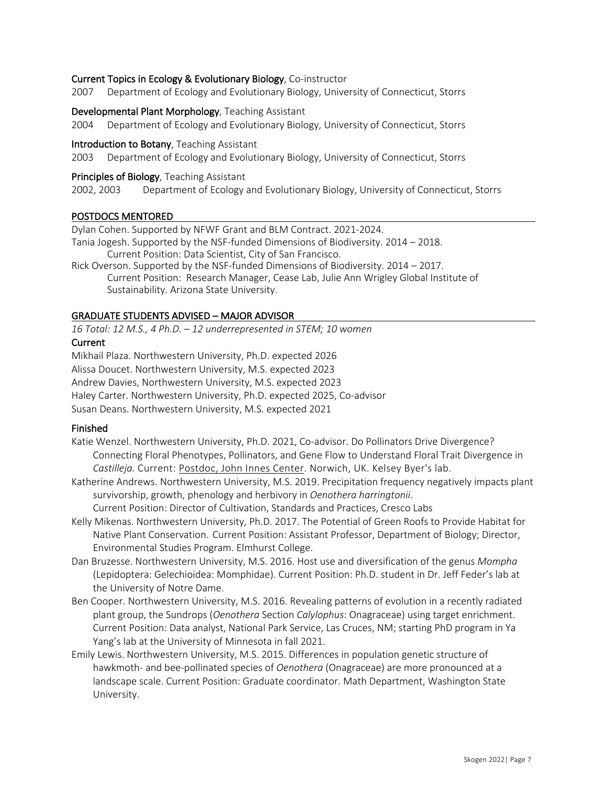## Current Topics in Ecology & Evolutionary Biology, Co-instructor

2007 Department of Ecology and Evolutionary Biology, University of Connecticut, Storrs

#### Developmental Plant Morphology, Teaching Assistant

2004 Department of Ecology and Evolutionary Biology, University of Connecticut, Storrs

#### Introduction to Botany, Teaching Assistant

2003 Department of Ecology and Evolutionary Biology, University of Connecticut, Storrs

#### Principles of Biology, Teaching Assistant

2002, 2003 Department of Ecology and Evolutionary Biology, University of Connecticut, Storrs

## POSTDOCS MENTORED

Dylan Cohen. Supported by NFWF Grant and BLM Contract. 2021-2024. Tania Jogesh. Supported by the NSF-funded Dimensions of Biodiversity. 2014 – 2018. Current Position: Data Scientist, City of San Francisco.

Rick Overson. Supported by the NSF-funded Dimensions of Biodiversity. 2014 – 2017. Current Position: Research Manager, Cease Lab, Julie Ann Wrigley Global Institute of Sustainability. Arizona State University.

## GRADUATE STUDENTS ADVISED – MAJOR ADVISOR

*16 Total: 12 M.S., 4 Ph.D. – 12 underrepresented in STEM; 10 women*

## Current

Mikhail Plaza. Northwestern University, Ph.D. expected 2026

Alissa Doucet. Northwestern University, M.S. expected 2023

Andrew Davies, Northwestern University, M.S. expected 2023

Haley Carter. Northwestern University, Ph.D. expected 2025, Co-advisor

Susan Deans. Northwestern University, M.S. expected 2021

#### Finished

- Katie Wenzel. Northwestern University, Ph.D. 2021, Co-advisor. Do Pollinators Drive Divergence? Connecting Floral Phenotypes, Pollinators, and Gene Flow to Understand Floral Trait Divergence in *Castilleja.* Current: Postdoc, John Innes Center. Norwich, UK. Kelsey Byer's lab.
- Katherine Andrews. Northwestern University, M.S. 2019. Precipitation frequency negatively impacts plant survivorship, growth, phenology and herbivory in *Oenothera harringtonii*.

Current Position: Director of Cultivation, Standards and Practices, Cresco Labs

- Kelly Mikenas. Northwestern University, Ph.D. 2017. The Potential of Green Roofs to Provide Habitat for Native Plant Conservation. Current Position: Assistant Professor, Department of Biology; Director, Environmental Studies Program. Elmhurst College.
- Dan Bruzesse. Northwestern University, M.S. 2016. Host use and diversification of the genus *Mompha*  (Lepidoptera: Gelechioidea: Momphidae). Current Position: Ph.D. student in Dr. Jeff Feder's lab at the University of Notre Dame.
- Ben Cooper. Northwestern University, M.S. 2016. Revealing patterns of evolution in a recently radiated plant group, the Sundrops (*Oenothera* Section *Calylophus*: Onagraceae) using target enrichment. Current Position: Data analyst, National Park Service, Las Cruces, NM; starting PhD program in Ya Yang's lab at the University of Minnesota in fall 2021.
- Emily Lewis. Northwestern University, M.S. 2015. Differences in population genetic structure of hawkmoth- and bee-pollinated species of *Oenothera* (Onagraceae) are more pronounced at a landscape scale. Current Position: Graduate coordinator. Math Department, Washington State University.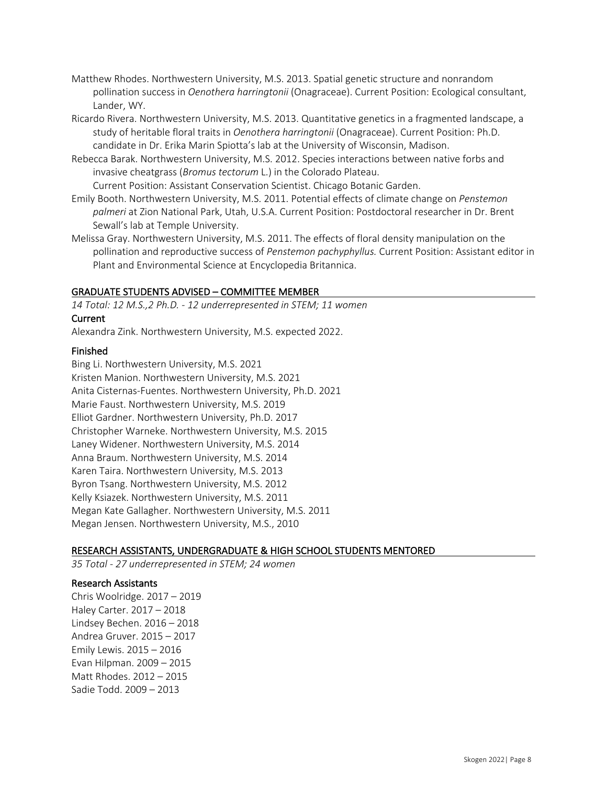- Matthew Rhodes. Northwestern University, M.S. 2013. Spatial genetic structure and nonrandom pollination success in *Oenothera harringtonii* (Onagraceae). Current Position: Ecological consultant, Lander, WY.
- Ricardo Rivera. Northwestern University, M.S. 2013. Quantitative genetics in a fragmented landscape, a study of heritable floral traits in *Oenothera harringtonii* (Onagraceae). Current Position: Ph.D. candidate in Dr. Erika Marin Spiotta's lab at the University of Wisconsin, Madison.
- Rebecca Barak. Northwestern University, M.S. 2012. Species interactions between native forbs and invasive cheatgrass (*Bromus tectorum* L.) in the Colorado Plateau.

Current Position: Assistant Conservation Scientist. Chicago Botanic Garden.

- Emily Booth. Northwestern University, M.S. 2011. Potential effects of climate change on *Penstemon palmeri* at Zion National Park, Utah, U.S.A. Current Position: Postdoctoral researcher in Dr. Brent Sewall's lab at Temple University.
- Melissa Gray. Northwestern University, M.S. 2011. The effects of floral density manipulation on the pollination and reproductive success of *Penstemon pachyphyllus.* Current Position: Assistant editor in Plant and Environmental Science at Encyclopedia Britannica.

## GRADUATE STUDENTS ADVISED – COMMITTEE MEMBER

*14 Total: 12 M.S.,2 Ph.D. - 12 underrepresented in STEM; 11 women*

## Current

Alexandra Zink. Northwestern University, M.S. expected 2022.

## Finished

Bing Li. Northwestern University, M.S. 2021 Kristen Manion. Northwestern University, M.S. 2021 Anita Cisternas-Fuentes. Northwestern University, Ph.D. 2021 Marie Faust. Northwestern University, M.S. 2019 Elliot Gardner. Northwestern University, Ph.D. 2017 Christopher Warneke. Northwestern University, M.S. 2015 Laney Widener. Northwestern University, M.S. 2014 Anna Braum. Northwestern University, M.S. 2014 Karen Taira. Northwestern University, M.S. 2013 Byron Tsang. Northwestern University, M.S. 2012 Kelly Ksiazek. Northwestern University, M.S. 2011 Megan Kate Gallagher. Northwestern University, M.S. 2011 Megan Jensen. Northwestern University, M.S., 2010

## RESEARCH ASSISTANTS, UNDERGRADUATE & HIGH SCHOOL STUDENTS MENTORED

*35 Total - 27 underrepresented in STEM; 24 women*

#### Research Assistants

Chris Woolridge. 2017 – 2019 Haley Carter. 2017 – 2018 Lindsey Bechen. 2016 – 2018 Andrea Gruver. 2015 – 2017 Emily Lewis. 2015 – 2016 Evan Hilpman. 2009 – 2015 Matt Rhodes. 2012 – 2015 Sadie Todd. 2009 – 2013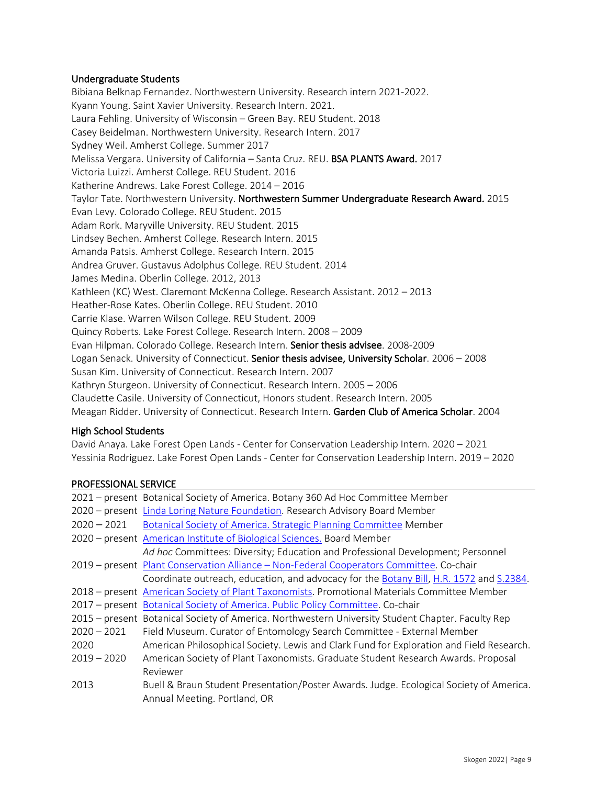## Undergraduate Students

Bibiana Belknap Fernandez. Northwestern University. Research intern 2021-2022. Kyann Young. Saint Xavier University. Research Intern. 2021. Laura Fehling. University of Wisconsin – Green Bay. REU Student. 2018 Casey Beidelman. Northwestern University. Research Intern. 2017 Sydney Weil. Amherst College. Summer 2017 Melissa Vergara. University of California – Santa Cruz. REU. BSA PLANTS Award. 2017 Victoria Luizzi. Amherst College. REU Student. 2016 Katherine Andrews. Lake Forest College. 2014 – 2016 Taylor Tate. Northwestern University. Northwestern Summer Undergraduate Research Award. 2015 Evan Levy. Colorado College. REU Student. 2015 Adam Rork. Maryville University. REU Student. 2015 Lindsey Bechen. Amherst College. Research Intern. 2015 Amanda Patsis. Amherst College. Research Intern. 2015 Andrea Gruver. Gustavus Adolphus College. REU Student. 2014 James Medina. Oberlin College. 2012, 2013 Kathleen (KC) West. Claremont McKenna College. Research Assistant. 2012 – 2013 Heather-Rose Kates. Oberlin College. REU Student. 2010 Carrie Klase. Warren Wilson College. REU Student. 2009 Quincy Roberts. Lake Forest College. Research Intern. 2008 – 2009 Evan Hilpman. Colorado College. Research Intern. Senior thesis advisee. 2008-2009 Logan Senack. University of Connecticut. Senior thesis advisee, University Scholar. 2006 - 2008 Susan Kim. University of Connecticut. Research Intern. 2007 Kathryn Sturgeon. University of Connecticut. Research Intern. 2005 – 2006 Claudette Casile. University of Connecticut, Honors student. Research Intern. 2005 Meagan Ridder. University of Connecticut. Research Intern. Garden Club of America Scholar. 2004

## High School Students

David Anaya. Lake Forest Open Lands - Center for Conservation Leadership Intern. 2020 – 2021 Yessinia Rodriguez. Lake Forest Open Lands - Center for Conservation Leadership Intern. 2019 – 2020

#### PROFESSIONAL SERVICE

|               | 2021 - present Botanical Society of America. Botany 360 Ad Hoc Committee Member                   |
|---------------|---------------------------------------------------------------------------------------------------|
|               | 2020 - present Linda Loring Nature Foundation. Research Advisory Board Member                     |
| $2020 - 2021$ | Botanical Society of America. Strategic Planning Committee Member                                 |
|               | 2020 – present American Institute of Biological Sciences. Board Member                            |
|               | Ad hoc Committees: Diversity; Education and Professional Development; Personnel                   |
|               | 2019 – present Plant Conservation Alliance – Non-Federal Cooperators Committee. Co-chair          |
|               | Coordinate outreach, education, and advocacy for the Botany Bill, H.R. 1572 and S.2384.           |
|               | 2018 - present American Society of Plant Taxonomists. Promotional Materials Committee Member      |
|               | 2017 – present Botanical Society of America. Public Policy Committee. Co-chair                    |
|               | 2015 - present Botanical Society of America. Northwestern University Student Chapter. Faculty Rep |
| $2020 - 2021$ | Field Museum. Curator of Entomology Search Committee - External Member                            |
| 2020          | American Philosophical Society. Lewis and Clark Fund for Exploration and Field Research.          |
| $2019 - 2020$ | American Society of Plant Taxonomists. Graduate Student Research Awards. Proposal                 |
|               | Reviewer                                                                                          |
| 2013          | Buell & Braun Student Presentation/Poster Awards. Judge. Ecological Society of America.           |
|               | Annual Meeting. Portland, OR                                                                      |
|               |                                                                                                   |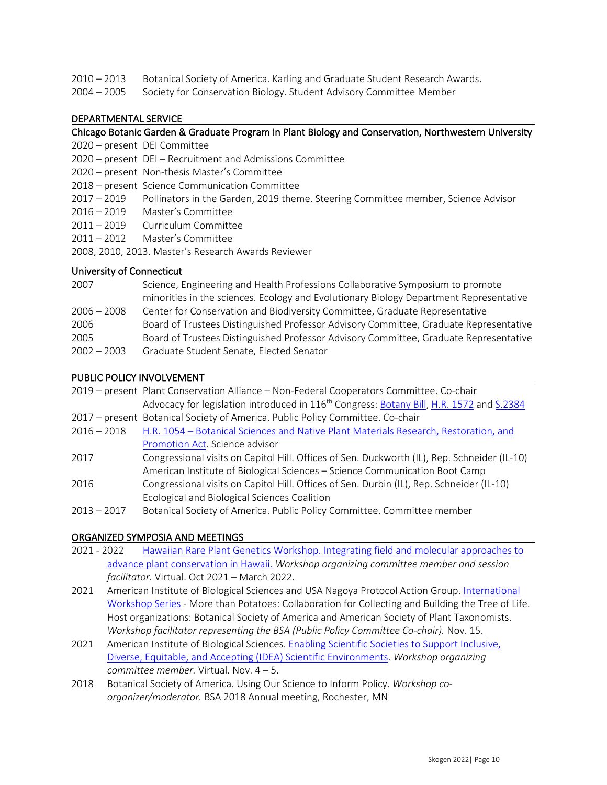- 2010 2013 Botanical Society of America. Karling and Graduate Student Research Awards.
- 2004 2005 Society for Conservation Biology. Student Advisory Committee Member

## DEPARTMENTAL SERVICE

## Chicago Botanic Garden & Graduate Program in Plant Biology and Conservation, Northwestern University

- 2020 present DEI Committee
- 2020 present DEI Recruitment and Admissions Committee
- 2020 present Non-thesis Master's Committee
- 2018 present Science Communication Committee
- 2017 2019 Pollinators in the Garden, 2019 theme. Steering Committee member, Science Advisor
- 2016 2019 Master's Committee
- 2011 2019 Curriculum Committee
- 2011 2012 Master's Committee
- 2008, 2010, 2013. Master's Research Awards Reviewer

## University of Connecticut

| Science, Engineering and Health Professions Collaborative Symposium to promote         |
|----------------------------------------------------------------------------------------|
| minorities in the sciences. Ecology and Evolutionary Biology Department Representative |
| Center for Conservation and Biodiversity Committee, Graduate Representative            |
| Board of Trustees Distinguished Professor Advisory Committee, Graduate Representative  |
| Board of Trustees Distinguished Professor Advisory Committee, Graduate Representative  |
| Graduate Student Senate, Elected Senator                                               |
|                                                                                        |

## PUBLIC POLICY INVOLVEMENT

- 2019 present Plant Conservation Alliance Non-Federal Cooperators Committee. Co-chair Advocacy for legislation introduced in 116<sup>th</sup> Congress: Botany Bill, H.R. 1572 and S.2384 2017 – present Botanical Society of America. Public Policy Committee. Co-chair
- 2016 2018 H.R. 1054 Botanical Sciences and Native Plant Materials Research, Restoration, and Promotion Act. Science advisor
- 2017 Congressional visits on Capitol Hill. Offices of Sen. Duckworth (IL), Rep. Schneider (IL-10) American Institute of Biological Sciences – Science Communication Boot Camp
- 2016 Congressional visits on Capitol Hill. Offices of Sen. Durbin (IL), Rep. Schneider (IL-10) Ecological and Biological Sciences Coalition
- 2013 2017 Botanical Society of America. Public Policy Committee. Committee member

## ORGANIZED SYMPOSIA AND MEETINGS

- 2021 2022 Hawaiian Rare Plant Genetics Workshop. Integrating field and molecular approaches to advance plant conservation in Hawaii. *Workshop organizing committee member and session facilitator.* Virtual. Oct 2021 – March 2022.
- 2021 American Institute of Biological Sciences and USA Nagoya Protocol Action Group. International Workshop Series - More than Potatoes: Collaboration for Collecting and Building the Tree of Life. Host organizations: Botanical Society of America and American Society of Plant Taxonomists. *Workshop facilitator representing the BSA (Public Policy Committee Co-chair).* Nov. 15.
- 2021 American Institute of Biological Sciences. Enabling Scientific Societies to Support Inclusive, Diverse, Equitable, and Accepting (IDEA) Scientific Environments. *Workshop organizing committee member.* Virtual. Nov. 4 – 5.
- 2018 Botanical Society of America. Using Our Science to Inform Policy. *Workshop coorganizer/moderator.* BSA 2018 Annual meeting, Rochester, MN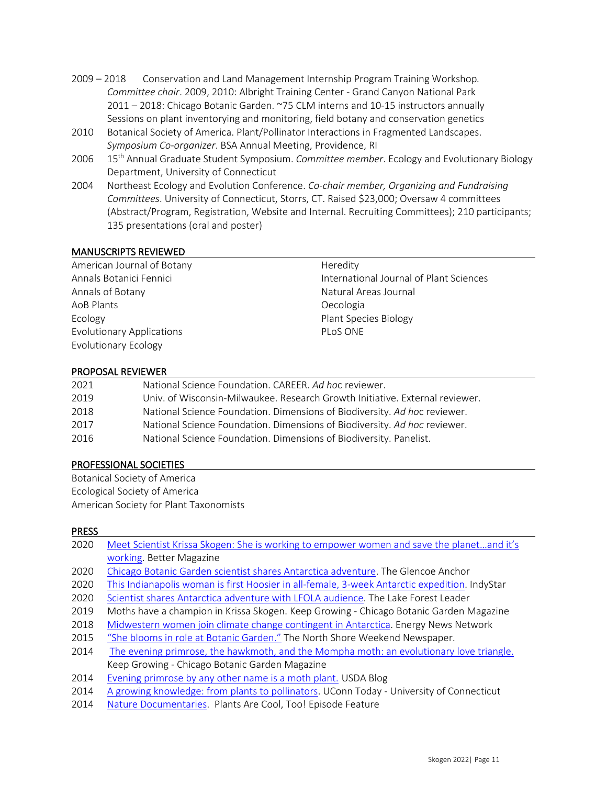- 2009 2018 Conservation and Land Management Internship Program Training Workshop*. Committee chair*. 2009, 2010: Albright Training Center - Grand Canyon National Park 2011 – 2018: Chicago Botanic Garden. ~75 CLM interns and 10-15 instructors annually Sessions on plant inventorying and monitoring, field botany and conservation genetics
- 2010 Botanical Society of America. Plant/Pollinator Interactions in Fragmented Landscapes. *Symposium Co-organizer*. BSA Annual Meeting, Providence, RI
- 2006 15th Annual Graduate Student Symposium. *Committee member*. Ecology and Evolutionary Biology Department, University of Connecticut
- 2004 Northeast Ecology and Evolution Conference. *Co-chair member, Organizing and Fundraising Committees*. University of Connecticut, Storrs, CT. Raised \$23,000; Oversaw 4 committees (Abstract/Program, Registration, Website and Internal. Recruiting Committees); 210 participants; 135 presentations (oral and poster)

## MANUSCRIPTS REVIEWED

American Journal of Botany Annals Botanici Fennici Annals of Botany AoB Plants Ecology Evolutionary Applications Evolutionary Ecology

Heredity International Journal of Plant Sciences Natural Areas Journal Oecologia Plant Species Biology PLoS ONE

## PROPOSAL REVIEWER

| 2021 | National Science Foundation. CAREER. Ad hoc reviewer.                        |
|------|------------------------------------------------------------------------------|
| 2019 | Univ. of Wisconsin-Milwaukee. Research Growth Initiative. External reviewer. |
| 2018 | National Science Foundation. Dimensions of Biodiversity. Ad hoc reviewer.    |
| 2017 | National Science Foundation. Dimensions of Biodiversity. Ad hoc reviewer.    |
| 2016 | National Science Foundation. Dimensions of Biodiversity. Panelist.           |

#### PROFESSIONAL SOCIETIES

Botanical Society of America Ecological Society of America American Society for Plant Taxonomists

#### PRESS

| 2020 | Meet Scientist Krissa Skogen: She is working to empower women and save the planetand it's     |
|------|-----------------------------------------------------------------------------------------------|
|      | working. Better Magazine                                                                      |
| 2020 | Chicago Botanic Garden scientist shares Antarctica adventure. The Glencoe Anchor              |
| 2020 | This Indianapolis woman is first Hoosier in all-female, 3-week Antarctic expedition. IndyStar |
| 2020 | Scientist shares Antarctica adventure with LFOLA audience. The Lake Forest Leader             |
| 2019 | Moths have a champion in Krissa Skogen. Keep Growing - Chicago Botanic Garden Magazine        |
| 2018 | Midwestern women join climate change contingent in Antarctica. Energy News Network            |
| 2015 | "She blooms in role at Botanic Garden." The North Shore Weekend Newspaper.                    |
| 2014 | The evening primrose, the hawkmoth, and the Mompha moth: an evolutionary love triangle.       |
|      | Keep Growing - Chicago Botanic Garden Magazine                                                |
| 2014 | Evening primrose by any other name is a moth plant. USDA Blog                                 |
| 2014 | A growing knowledge: from plants to pollinators. UConn Today - University of Connecticut      |
| 2014 | Nature Documentaries. Plants Are Cool, Too! Episode Feature                                   |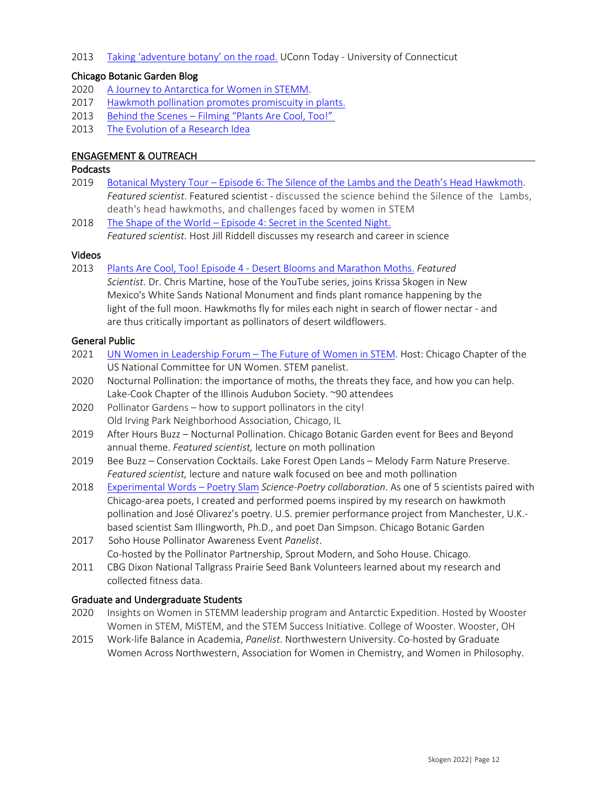2013 Taking 'adventure botany' on the road. UConn Today - University of Connecticut

## Chicago Botanic Garden Blog

- 2020 A Journey to Antarctica for Women in STEMM.
- 2017 Hawkmoth pollination promotes promiscuity in plants.
- 2013 Behind the Scenes Filming "Plants Are Cool, Too!"
- 2013 The Evolution of a Research Idea

## ENGAGEMENT & OUTREACH

#### Podcasts

- 2019 Botanical Mystery Tour Episode 6: The Silence of the Lambs and the Death's Head Hawkmoth. *Featured scientist*. Featured scientist - discussed the science behind the Silence of the Lambs, death's head hawkmoths, and challenges faced by women in STEM
- 2018 The Shape of the World Episode 4: Secret in the Scented Night. *Featured scientist.* Host Jill Riddell discusses my research and career in science

## Videos

2013 Plants Are Cool, Too! Episode 4 - Desert Blooms and Marathon Moths. *Featured Scientist.* Dr. Chris Martine, hose of the YouTube series, joins Krissa Skogen in New Mexico's White Sands National Monument and finds plant romance happening by the light of the full moon. Hawkmoths fly for miles each night in search of flower nectar - and are thus critically important as pollinators of desert wildflowers.

## General Public

- 2021 UN Women in Leadership Forum The Future of Women in STEM. Host: Chicago Chapter of the US National Committee for UN Women. STEM panelist.
- 2020 Nocturnal Pollination: the importance of moths, the threats they face, and how you can help. Lake-Cook Chapter of the Illinois Audubon Society. ~90 attendees
- 2020 Pollinator Gardens how to support pollinators in the city! Old Irving Park Neighborhood Association, Chicago, IL
- 2019 After Hours Buzz Nocturnal Pollination. Chicago Botanic Garden event for Bees and Beyond annual theme. *Featured scientist,* lecture on moth pollination
- 2019 Bee Buzz Conservation Cocktails. Lake Forest Open Lands Melody Farm Nature Preserve. *Featured scientist,* lecture and nature walk focused on bee and moth pollination
- 2018 Experimental Words Poetry Slam *Science-Poetry collaboration*. As one of 5 scientists paired with Chicago-area poets, I created and performed poems inspired by my research on hawkmoth pollination and José Olivarez's poetry. U.S. premier performance project from Manchester, U.K. based scientist Sam Illingworth, Ph.D., and poet Dan Simpson. Chicago Botanic Garden
- 2017 Soho House Pollinator Awareness Event *Panelist*. Co-hosted by the Pollinator Partnership, Sprout Modern, and Soho House. Chicago.
- 2011 CBG Dixon National Tallgrass Prairie Seed Bank Volunteers learned about my research and collected fitness data.

#### Graduate and Undergraduate Students

- 2020 Insights on Women in STEMM leadership program and Antarctic Expedition. Hosted by Wooster Women in STEM, MiSTEM, and the STEM Success Initiative. College of Wooster. Wooster, OH
- 2015 Work-life Balance in Academia, *Panelist*. Northwestern University. Co-hosted by Graduate Women Across Northwestern, Association for Women in Chemistry, and Women in Philosophy.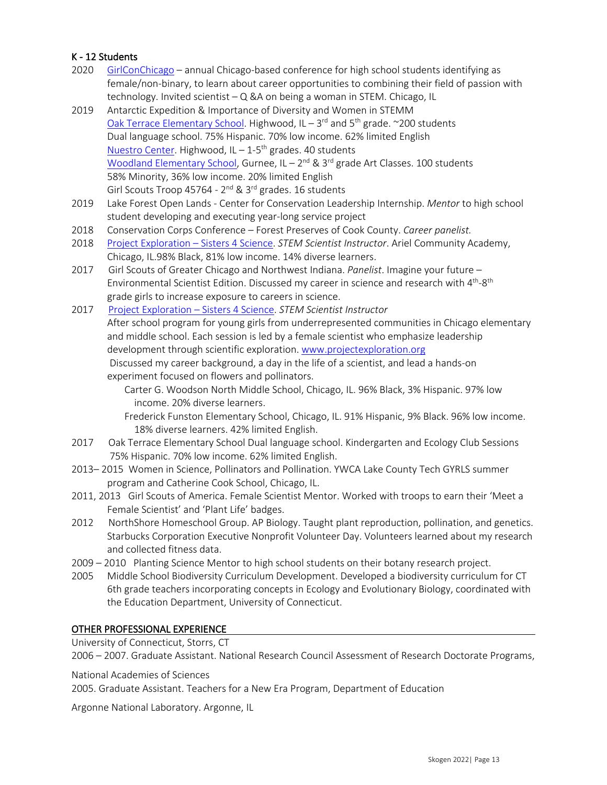# K - 12 Students

- 2020 GirlConChicago annual Chicago-based conference for high school students identifying as female/non-binary, to learn about career opportunities to combining their field of passion with technology. Invited scientist – Q &A on being a woman in STEM. Chicago, IL
- 2019 Antarctic Expedition & Importance of Diversity and Women in STEMM Oak Terrace Elementary School. Highwood,  $IL - 3<sup>rd</sup>$  and  $5<sup>th</sup>$  grade. ~200 students Dual language school. 75% Hispanic. 70% low income. 62% limited English Nuestro Center. Highwood, IL -  $1-5$ <sup>th</sup> grades. 40 students Woodland Elementary School, Gurnee,  $IL - 2<sup>nd</sup>$  & 3<sup>rd</sup> grade Art Classes. 100 students 58% Minority, 36% low income. 20% limited English Girl Scouts Troop 45764 - 2<sup>nd</sup> & 3<sup>rd</sup> grades. 16 students
- 2019 Lake Forest Open Lands Center for Conservation Leadership Internship. *Mentor* to high school student developing and executing year-long service project
- 2018 Conservation Corps Conference Forest Preserves of Cook County. *Career panelist.*
- 2018 Project Exploration Sisters 4 Science. *STEM Scientist Instructor*. Ariel Community Academy, Chicago, IL.98% Black, 81% low income. 14% diverse learners.
- 2017 Girl Scouts of Greater Chicago and Northwest Indiana. *Panelist*. Imagine your future Environmental Scientist Edition. Discussed my career in science and research with 4<sup>th</sup>-8<sup>th</sup> grade girls to increase exposure to careers in science.
- 2017 Project Exploration Sisters 4 Science. *STEM Scientist Instructor* After school program for young girls from underrepresented communities in Chicago elementary and middle school. Each session is led by a female scientist who emphasize leadership development through scientific exploration. www.projectexploration.org Discussed my career background, a day in the life of a scientist, and lead a hands-on experiment focused on flowers and pollinators.

 Carter G. Woodson North Middle School, Chicago, IL. 96% Black, 3% Hispanic. 97% low income. 20% diverse learners.

- Frederick Funston Elementary School, Chicago, IL. 91% Hispanic, 9% Black. 96% low income. 18% diverse learners. 42% limited English.
- 2017 Oak Terrace Elementary School Dual language school. Kindergarten and Ecology Club Sessions 75% Hispanic. 70% low income. 62% limited English.
- 2013– 2015 Women in Science, Pollinators and Pollination. YWCA Lake County Tech GYRLS summer program and Catherine Cook School, Chicago, IL.
- 2011, 2013 Girl Scouts of America. Female Scientist Mentor. Worked with troops to earn their 'Meet a Female Scientist' and 'Plant Life' badges.
- 2012 NorthShore Homeschool Group. AP Biology. Taught plant reproduction, pollination, and genetics. Starbucks Corporation Executive Nonprofit Volunteer Day. Volunteers learned about my research and collected fitness data.
- 2009 2010 Planting Science Mentor to high school students on their botany research project.
- 2005 Middle School Biodiversity Curriculum Development. Developed a biodiversity curriculum for CT 6th grade teachers incorporating concepts in Ecology and Evolutionary Biology, coordinated with the Education Department, University of Connecticut.

## OTHER PROFESSIONAL EXPERIENCE

University of Connecticut, Storrs, CT

2006 – 2007. Graduate Assistant. National Research Council Assessment of Research Doctorate Programs,

National Academies of Sciences

2005. Graduate Assistant. Teachers for a New Era Program, Department of Education

Argonne National Laboratory. Argonne, IL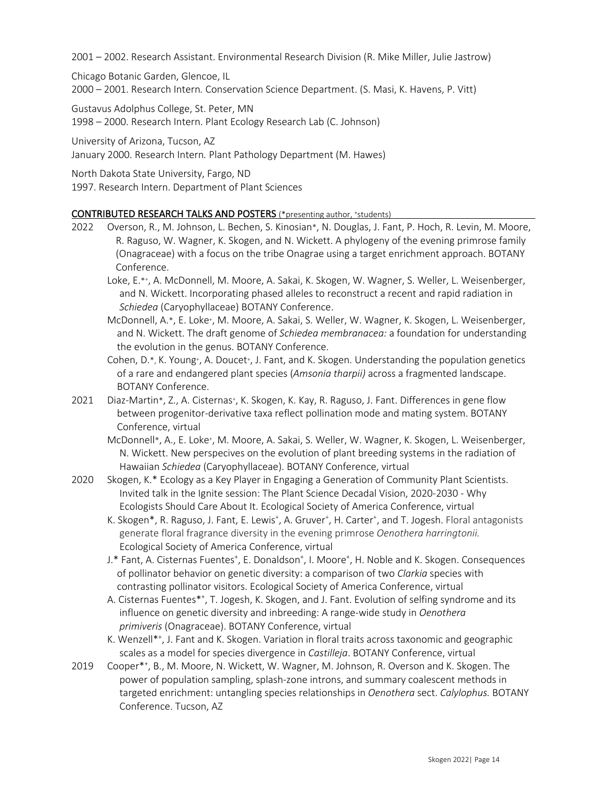2001 – 2002. Research Assistant. Environmental Research Division (R. Mike Miller, Julie Jastrow)

Chicago Botanic Garden, Glencoe, IL 2000 – 2001. Research Intern*.* Conservation Science Department. (S. Masi, K. Havens, P. Vitt)

Gustavus Adolphus College, St. Peter, MN 1998 – 2000. Research Intern. Plant Ecology Research Lab (C. Johnson)

University of Arizona, Tucson, AZ January 2000. Research Intern*.* Plant Pathology Department (M. Hawes)

North Dakota State University, Fargo, ND 1997. Research Intern. Department of Plant Sciences

## CONTRIBUTED RESEARCH TALKS AND POSTERS (\*presenting author, +students)

- 2022 Overson, R., M. Johnson, L. Bechen, S. Kinosian\*, N. Douglas, J. Fant, P. Hoch, R. Levin, M. Moore, R. Raguso, W. Wagner, K. Skogen, and N. Wickett. A phylogeny of the evening primrose family (Onagraceae) with a focus on the tribe Onagrae using a target enrichment approach. BOTANY Conference.
	- Loke, E.\*+, A. McDonnell, M. Moore, A. Sakai, K. Skogen, W. Wagner, S. Weller, L. Weisenberger, and N. Wickett. Incorporating phased alleles to reconstruct a recent and rapid radiation in *Schiedea* (Caryophyllaceae) BOTANY Conference.
	- McDonnell, A.\*, E. Loke+, M. Moore, A. Sakai, S. Weller, W. Wagner, K. Skogen, L. Weisenberger, and N. Wickett. The draft genome of *Schiedea membranacea:* a foundation for understanding the evolution in the genus. BOTANY Conference.
	- Cohen, D.\*, K. Young+, A. Doucet+, J. Fant, and K. Skogen. Understanding the population genetics of a rare and endangered plant species (*Amsonia tharpii)* across a fragmented landscape. BOTANY Conference.
- 2021 Diaz-Martin\*, Z., A. Cisternas+, K. Skogen, K. Kay, R. Raguso, J. Fant. Differences in gene flow between progenitor-derivative taxa reflect pollination mode and mating system. BOTANY Conference, virtual
	- McDonnell\*, A., E. Loke+, M. Moore, A. Sakai, S. Weller, W. Wagner, K. Skogen, L. Weisenberger, N. Wickett. New perspecives on the evolution of plant breeding systems in the radiation of Hawaiian *Schiedea* (Caryophyllaceae). BOTANY Conference, virtual
- 2020 Skogen, K.\* Ecology as a Key Player in Engaging a Generation of Community Plant Scientists. Invited talk in the Ignite session: The Plant Science Decadal Vision, 2020-2030 - Why Ecologists Should Care About It. Ecological Society of America Conference, virtual
	- K. Skogen\*, R. Raguso, J. Fant, E. Lewis<sup>+</sup>, A. Gruver<sup>+</sup>, H. Carter<sup>+</sup>, and T. Jogesh. Floral antagonists generate floral fragrance diversity in the evening primrose *Oenothera harringtonii.*  **Ecological Society of America Conference, virtual**
	- J.\* Fant, A. Cisternas Fuentes<sup>+</sup>, E. Donaldson<sup>+</sup>, I. Moore<sup>+</sup>, H. Noble and K. Skogen. Consequences of pollinator behavior on genetic diversity: a comparison of two *Clarkia* species with contrasting pollinator visitors. Ecological Society of America Conference, virtual
	- A. Cisternas Fuentes\*\*, T. Jogesh, K. Skogen, and J. Fant. Evolution of selfing syndrome and its influence on genetic diversity and inbreeding: A range-wide study in *Oenothera primiveris* (Onagraceae). BOTANY Conference, virtual
	- K. Wenzell\*<sup>+</sup>, J. Fant and K. Skogen. Variation in floral traits across taxonomic and geographic scales as a model for species divergence in *Castilleja*. BOTANY Conference, virtual
- 2019 Cooper\*<sup>+</sup>, B., M. Moore, N. Wickett, W. Wagner, M. Johnson, R. Overson and K. Skogen. The power of population sampling, splash-zone introns, and summary coalescent methods in targeted enrichment: untangling species relationships in *Oenothera* sect. *Calylophus.* BOTANY Conference. Tucson, AZ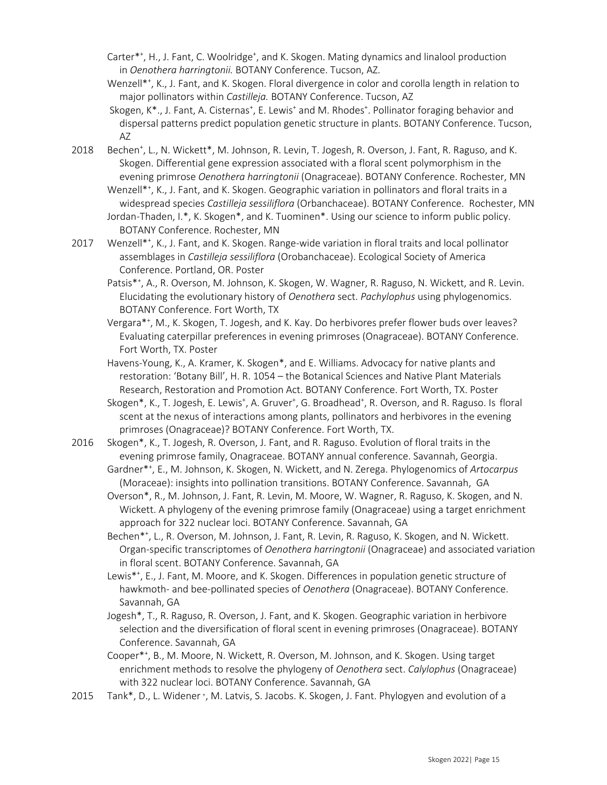Carter\*\*, H., J. Fant, C. Woolridge<sup>+</sup>, and K. Skogen. Mating dynamics and linalool production in *Oenothera harringtonii.* BOTANY Conference. Tucson, AZ.

Wenzell\*<sup>+</sup>, K., J. Fant, and K. Skogen. Floral divergence in color and corolla length in relation to major pollinators within *Castilleja.* BOTANY Conference. Tucson, AZ

Skogen, K\*., J. Fant, A. Cisternas<sup>+</sup>, E. Lewis<sup>+</sup> and M. Rhodes<sup>+</sup>. Pollinator foraging behavior and dispersal patterns predict population genetic structure in plants. BOTANY Conference. Tucson, AZ

- 2018 Bechen<sup>+</sup>, L., N. Wickett\*, M. Johnson, R. Levin, T. Jogesh, R. Overson, J. Fant, R. Raguso, and K. Skogen. Differential gene expression associated with a floral scent polymorphism in the evening primrose *Oenothera harringtonii* (Onagraceae). BOTANY Conference. Rochester, MN
	- Wenzell\*<sup>+</sup>, K., J. Fant, and K. Skogen. Geographic variation in pollinators and floral traits in a widespread species *Castilleja sessiliflora* (Orbanchaceae). BOTANY Conference. Rochester, MN Jordan-Thaden, I.\*, K. Skogen\*, and K. Tuominen\*. Using our science to inform public policy.

BOTANY Conference. Rochester, MN

- 2017 Wenzell\*<sup>+</sup>, K., J. Fant, and K. Skogen. Range-wide variation in floral traits and local pollinator assemblages in *Castilleja sessiliflora* (Orobanchaceae). Ecological Society of America Conference. Portland, OR. Poster
	- Patsis\*<sup>+</sup>, A., R. Overson, M. Johnson, K. Skogen, W. Wagner, R. Raguso, N. Wickett, and R. Levin. Elucidating the evolutionary history of *Oenothera* sect. *Pachylophus* using phylogenomics. BOTANY Conference. Fort Worth, TX
	- Vergara\*+ , M., K. Skogen, T. Jogesh, and K. Kay. Do herbivores prefer flower buds over leaves? Evaluating caterpillar preferences in evening primroses (Onagraceae). BOTANY Conference. Fort Worth, TX. Poster
	- Havens-Young, K., A. Kramer, K. Skogen\*, and E. Williams. Advocacy for native plants and restoration: 'Botany Bill', H. R. 1054 – the Botanical Sciences and Native Plant Materials Research, Restoration and Promotion Act. BOTANY Conference. Fort Worth, TX. Poster
	- Skogen\*, K., T. Jogesh, E. Lewis<sup>+</sup>, A. Gruver<sup>+</sup>, G. Broadhead<sup>+</sup>, R. Overson, and R. Raguso. Is floral scent at the nexus of interactions among plants, pollinators and herbivores in the evening primroses (Onagraceae)? BOTANY Conference. Fort Worth, TX.
- 2016 Skogen\*, K., T. Jogesh, R. Overson, J. Fant, and R. Raguso. Evolution of floral traits in the evening primrose family, Onagraceae. BOTANY annual conference. Savannah, Georgia.
	- Gardner\*+ , E., M. Johnson, K. Skogen, N. Wickett, and N. Zerega. Phylogenomics of *Artocarpus*  (Moraceae): insights into pollination transitions. BOTANY Conference. Savannah, GA
	- Overson\*, R., M. Johnson, J. Fant, R. Levin, M. Moore, W. Wagner, R. Raguso, K. Skogen, and N. Wickett. A phylogeny of the evening primrose family (Onagraceae) using a target enrichment approach for 322 nuclear loci. BOTANY Conference. Savannah, GA
	- Bechen\*\*, L., R. Overson, M. Johnson, J. Fant, R. Levin, R. Raguso, K. Skogen, and N. Wickett. Organ-specific transcriptomes of *Oenothera harringtonii* (Onagraceae) and associated variation in floral scent. BOTANY Conference. Savannah, GA
	- Lewis\*<sup>+</sup>, E., J. Fant, M. Moore, and K. Skogen. Differences in population genetic structure of hawkmoth- and bee-pollinated species of *Oenothera* (Onagraceae). BOTANY Conference. Savannah, GA
	- Jogesh\*, T., R. Raguso, R. Overson, J. Fant, and K. Skogen. Geographic variation in herbivore selection and the diversification of floral scent in evening primroses (Onagraceae). BOTANY Conference. Savannah, GA
	- Cooper\*<sup>+</sup>, B., M. Moore, N. Wickett, R. Overson, M. Johnson, and K. Skogen. Using target enrichment methods to resolve the phylogeny of *Oenothera* sect. *Calylophus* (Onagraceae) with 322 nuclear loci. BOTANY Conference. Savannah, GA
- 2015 Tank\*, D., L. Widener +, M. Latvis, S. Jacobs. K. Skogen, J. Fant. Phylogyen and evolution of a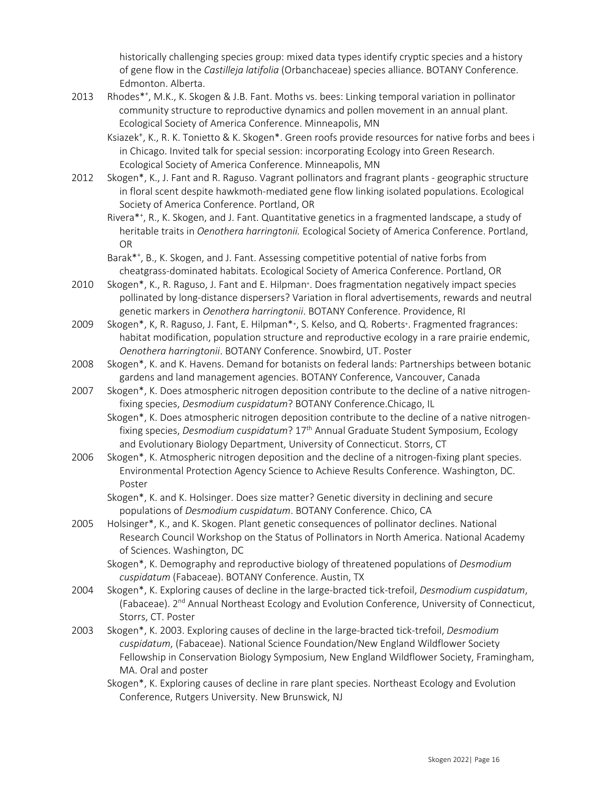historically challenging species group: mixed data types identify cryptic species and a history of gene flow in the *Castilleja latifolia* (Orbanchaceae) species alliance. BOTANY Conference. Edmonton. Alberta.

- 2013 Rhodes\*<sup>+</sup>, M.K., K. Skogen & J.B. Fant. Moths vs. bees: Linking temporal variation in pollinator community structure to reproductive dynamics and pollen movement in an annual plant. Ecological Society of America Conference. Minneapolis, MN
	- Ksiazek<sup>+</sup>, K., R. K. Tonietto & K. Skogen\*. Green roofs provide resources for native forbs and bees i in Chicago. Invited talk for special session: incorporating Ecology into Green Research. Ecological Society of America Conference. Minneapolis, MN
- 2012 Skogen\*, K., J. Fant and R. Raguso. Vagrant pollinators and fragrant plants geographic structure in floral scent despite hawkmoth-mediated gene flow linking isolated populations. Ecological Society of America Conference. Portland, OR
	- Rivera\*\*, R., K. Skogen, and J. Fant. Quantitative genetics in a fragmented landscape, a study of heritable traits in *Oenothera harringtonii.* Ecological Society of America Conference. Portland, OR
	- Barak\*+ , B., K. Skogen, and J. Fant. Assessing competitive potential of native forbs from cheatgrass-dominated habitats. Ecological Society of America Conference. Portland, OR
- 2010 Skogen\*, K., R. Raguso, J. Fant and E. Hilpman+. Does fragmentation negatively impact species pollinated by long-distance dispersers? Variation in floral advertisements, rewards and neutral genetic markers in *Oenothera harringtonii*. BOTANY Conference. Providence, RI
- 2009 Skogen\*, K, R. Raguso, J. Fant, E. Hilpman\*+, S. Kelso, and Q. Roberts+. Fragmented fragrances: habitat modification, population structure and reproductive ecology in a rare prairie endemic,  *Oenothera harringtonii*. BOTANY Conference. Snowbird, UT. Poster
- 2008 Skogen\*, K. and K. Havens. Demand for botanists on federal lands: Partnerships between botanic gardens and land management agencies. BOTANY Conference, Vancouver, Canada
- 2007 Skogen\*, K. Does atmospheric nitrogen deposition contribute to the decline of a native nitrogen fixing species, *Desmodium cuspidatum*? BOTANY Conference.Chicago, IL
	- Skogen\*, K. Does atmospheric nitrogen deposition contribute to the decline of a native nitrogen fixing species, *Desmodium cuspidatum*? 17th Annual Graduate Student Symposium, Ecology and Evolutionary Biology Department, University of Connecticut. Storrs, CT
- 2006 Skogen\*, K. Atmospheric nitrogen deposition and the decline of a nitrogen-fixing plant species. Environmental Protection Agency Science to Achieve Results Conference. Washington, DC. Poster
	- Skogen\*, K. and K. Holsinger. Does size matter? Genetic diversity in declining and secure populations of *Desmodium cuspidatum*. BOTANY Conference. Chico, CA
- 2005 Holsinger\*, K., and K. Skogen. Plant genetic consequences of pollinator declines. National Research Council Workshop on the Status of Pollinators in North America. National Academy of Sciences. Washington, DC
	- Skogen\*, K. Demography and reproductive biology of threatened populations of *Desmodium cuspidatum* (Fabaceae). BOTANY Conference. Austin, TX
- 2004 Skogen\*, K. Exploring causes of decline in the large-bracted tick-trefoil, *Desmodium cuspidatum*, (Fabaceae). 2nd Annual Northeast Ecology and Evolution Conference, University of Connecticut, Storrs, CT. Poster
- 2003 Skogen\*, K. 2003. Exploring causes of decline in the large-bracted tick-trefoil, *Desmodium cuspidatum*, (Fabaceae). National Science Foundation/New England Wildflower Society Fellowship in Conservation Biology Symposium, New England Wildflower Society, Framingham, MA. Oral and poster
	- Skogen\*, K. Exploring causes of decline in rare plant species. Northeast Ecology and Evolution Conference, Rutgers University. New Brunswick, NJ